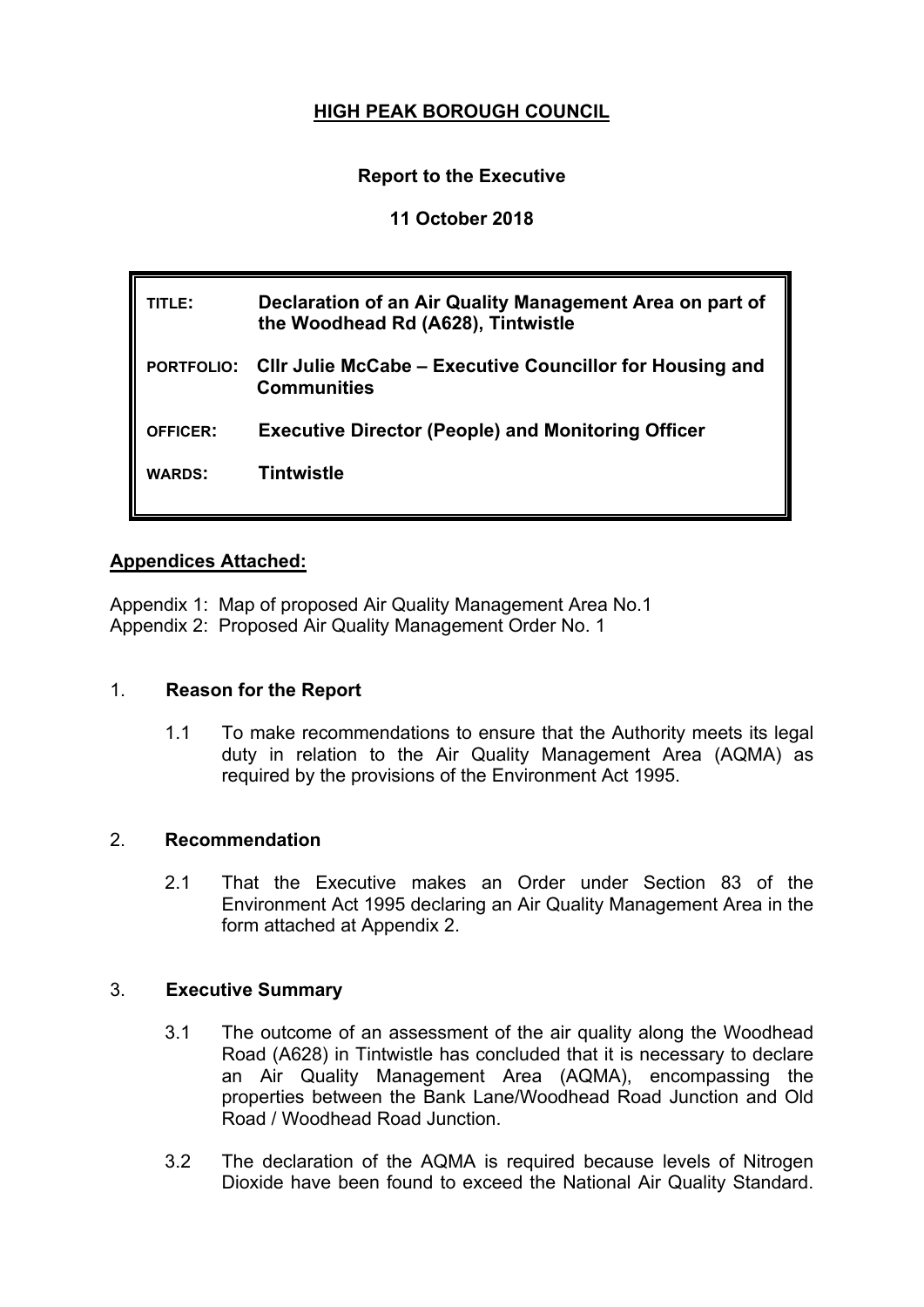# **HIGH PEAK BOROUGH COUNCIL**

## **Report to the Executive**

### **11 October 2018**

| TITLE:          | Declaration of an Air Quality Management Area on part of<br>the Woodhead Rd (A628), Tintwistle |
|-----------------|------------------------------------------------------------------------------------------------|
|                 | PORTFOLIO: Cllr Julie McCabe – Executive Councillor for Housing and<br><b>Communities</b>      |
| <b>OFFICER:</b> | <b>Executive Director (People) and Monitoring Officer</b>                                      |
| <b>WARDS:</b>   | Tintwistle                                                                                     |
|                 |                                                                                                |

### **Appendices Attached:**

Appendix 1: Map of proposed Air Quality Management Area No.1 Appendix 2: Proposed Air Quality Management Order No. 1

### 1. **Reason for the Report**

1.1 To make recommendations to ensure that the Authority meets its legal duty in relation to the Air Quality Management Area (AQMA) as required by the provisions of the Environment Act 1995.

### 2. **Recommendation**

2.1 That the Executive makes an Order under Section 83 of the Environment Act 1995 declaring an Air Quality Management Area in the form attached at Appendix 2.

### 3. **Executive Summary**

- 3.1 The outcome of an assessment of the air quality along the Woodhead Road (A628) in Tintwistle has concluded that it is necessary to declare an Air Quality Management Area (AQMA), encompassing the properties between the Bank Lane/Woodhead Road Junction and Old Road / Woodhead Road Junction.
- 3.2 The declaration of the AQMA is required because levels of Nitrogen Dioxide have been found to exceed the National Air Quality Standard.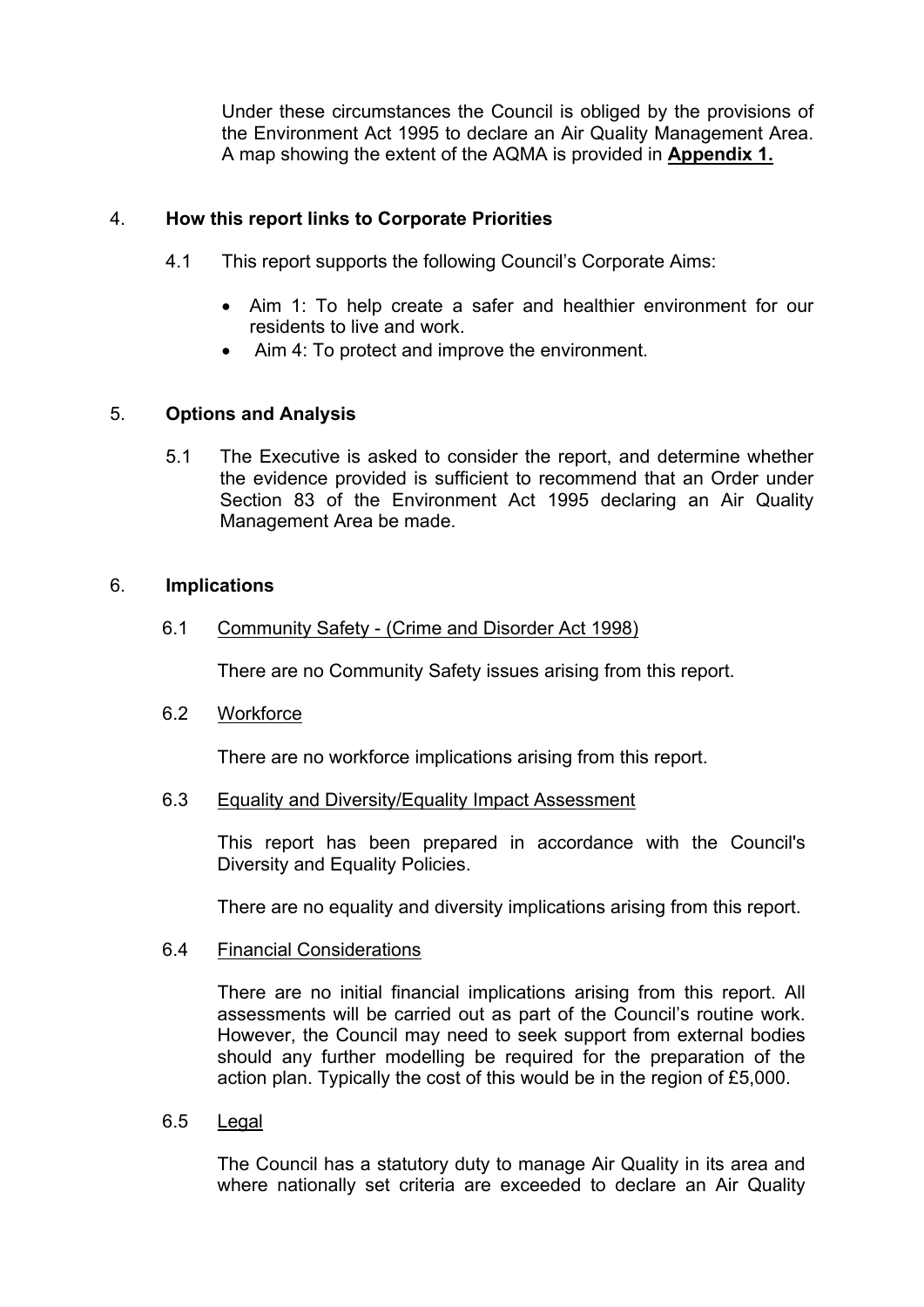Under these circumstances the Council is obliged by the provisions of the Environment Act 1995 to declare an Air Quality Management Area. A map showing the extent of the AQMA is provided in **Appendix 1.**

### 4. **How this report links to Corporate Priorities**

- 4.1 This report supports the following Council's Corporate Aims:
	- Aim 1: To help create a safer and healthier environment for our residents to live and work.
	- Aim 4: To protect and improve the environment.

#### 5. **Options and Analysis**

5.1 The Executive is asked to consider the report, and determine whether the evidence provided is sufficient to recommend that an Order under Section 83 of the Environment Act 1995 declaring an Air Quality Management Area be made.

### 6. **Implications**

6.1 Community Safety - (Crime and Disorder Act 1998)

There are no Community Safety issues arising from this report.

6.2 Workforce

There are no workforce implications arising from this report.

6.3 Equality and Diversity/Equality Impact Assessment

This report has been prepared in accordance with the Council's Diversity and Equality Policies.

There are no equality and diversity implications arising from this report.

6.4 Financial Considerations

There are no initial financial implications arising from this report. All assessments will be carried out as part of the Council's routine work. However, the Council may need to seek support from external bodies should any further modelling be required for the preparation of the action plan. Typically the cost of this would be in the region of £5,000.

6.5 Legal

The Council has a statutory duty to manage Air Quality in its area and where nationally set criteria are exceeded to declare an Air Quality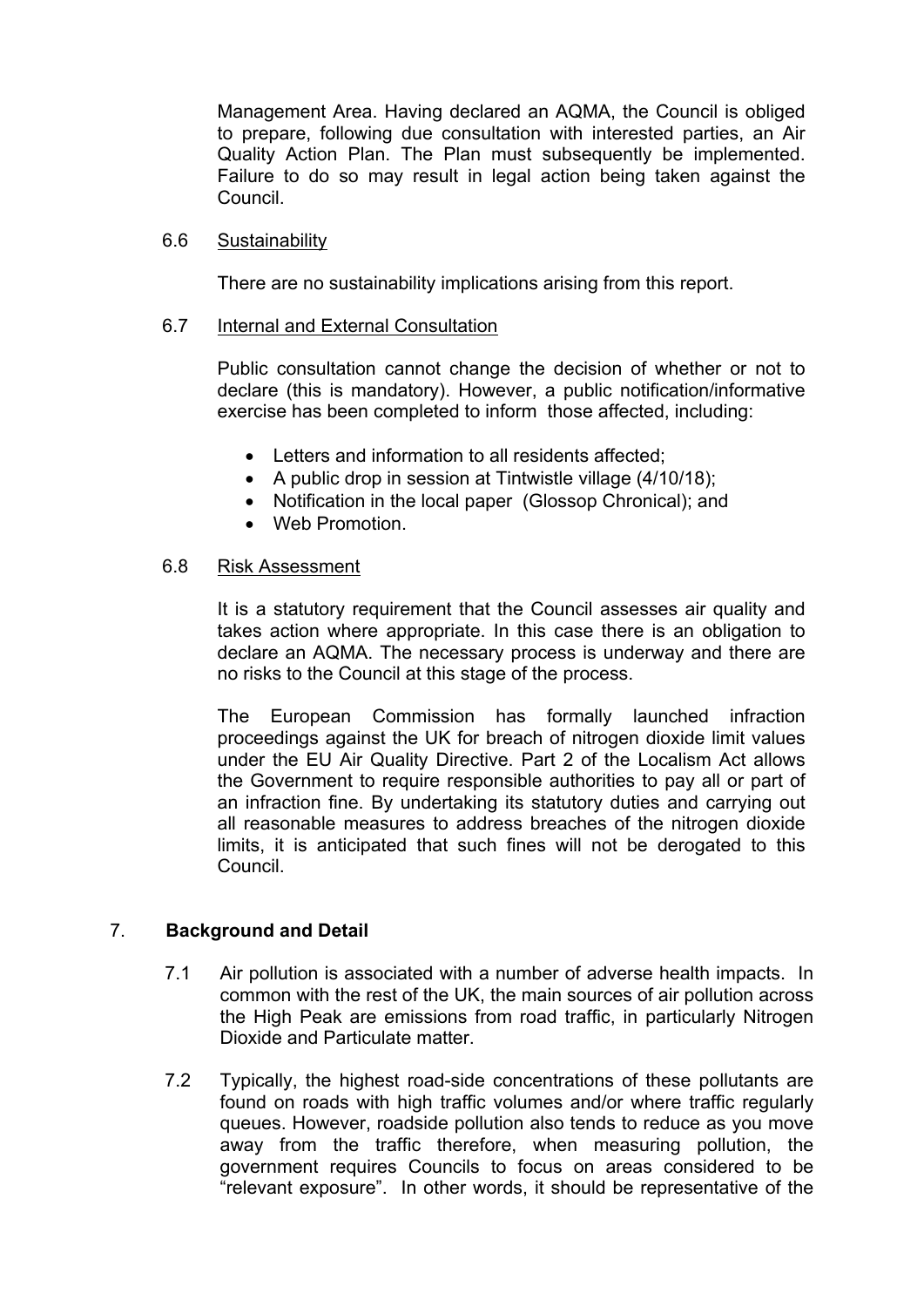Management Area. Having declared an AQMA, the Council is obliged to prepare, following due consultation with interested parties, an Air Quality Action Plan. The Plan must subsequently be implemented. Failure to do so may result in legal action being taken against the Council.

#### 6.6 Sustainability

There are no sustainability implications arising from this report.

#### 6.7 Internal and External Consultation

Public consultation cannot change the decision of whether or not to declare (this is mandatory). However, a public notification/informative exercise has been completed to inform those affected, including:

- Letters and information to all residents affected;
- A public drop in session at Tintwistle village (4/10/18);
- Notification in the local paper (Glossop Chronical); and
- Web Promotion.

#### 6.8 Risk Assessment

It is a statutory requirement that the Council assesses air quality and takes action where appropriate. In this case there is an obligation to declare an AQMA. The necessary process is underway and there are no risks to the Council at this stage of the process.

The European Commission has formally launched infraction proceedings against the UK for breach of nitrogen dioxide limit values under the EU Air Quality Directive. Part 2 of the Localism Act allows the Government to require responsible authorities to pay all or part of an infraction fine. By undertaking its statutory duties and carrying out all reasonable measures to address breaches of the nitrogen dioxide limits, it is anticipated that such fines will not be derogated to this Council.

### 7. **Background and Detail**

- 7.1 Air pollution is associated with a number of adverse health impacts. In common with the rest of the UK, the main sources of air pollution across the High Peak are emissions from road traffic, in particularly Nitrogen Dioxide and Particulate matter.
- 7.2 Typically, the highest road-side concentrations of these pollutants are found on roads with high traffic volumes and/or where traffic regularly queues. However, roadside pollution also tends to reduce as you move away from the traffic therefore, when measuring pollution, the government requires Councils to focus on areas considered to be "relevant exposure". In other words, it should be representative of the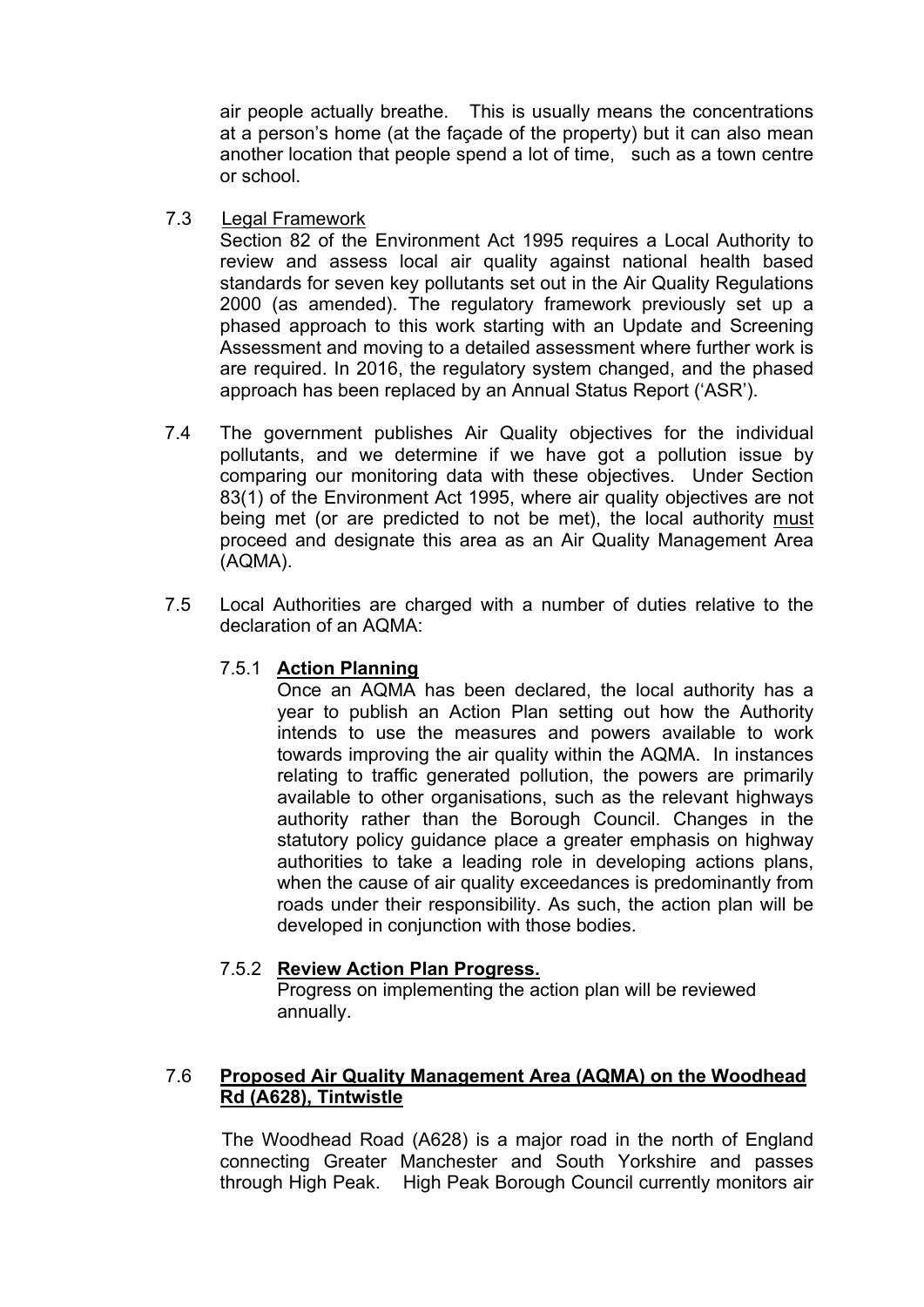air people actually breathe. This is usually means the concentrations at a person's home (at the façade of the property) but it can also mean another location that people spend a lot of time, such as a town centre or school.

7.3 Legal Framework

Section 82 of the Environment Act 1995 requires a Local Authority to review and assess local air quality against national health based standards for seven key pollutants set out in the Air Quality Regulations 2000 (as amended). The regulatory framework previously set up a phased approach to this work starting with an Update and Screening Assessment and moving to a detailed assessment where further work is are required. In 2016, the regulatory system changed, and the phased approach has been replaced by an Annual Status Report ('ASR').

- 7.4 The government publishes Air Quality objectives for the individual pollutants, and we determine if we have got a pollution issue by comparing our monitoring data with these objectives. Under Section 83(1) of the Environment Act 1995, where air quality objectives are not being met (or are predicted to not be met), the local authority must proceed and designate this area as an Air Quality Management Area (AQMA).
- 7.5 Local Authorities are charged with a number of duties relative to the declaration of an AQMA:

### 7.5.1 **Action Planning**

Once an AQMA has been declared, the local authority has a year to publish an Action Plan setting out how the Authority intends to use the measures and powers available to work towards improving the air quality within the AQMA. In instances relating to traffic generated pollution, the powers are primarily available to other organisations, such as the relevant highways authority rather than the Borough Council. Changes in the statutory policy guidance place a greater emphasis on highway authorities to take a leading role in developing actions plans, when the cause of air quality exceedances is predominantly from roads under their responsibility. As such, the action plan will be developed in conjunction with those bodies.

### 7.5.2 **Review Action Plan Progress.**

Progress on implementing the action plan will be reviewed annually.

## 7.6 **Proposed Air Quality Management Area (AQMA) on the Woodhead Rd (A628), Tintwistle**

The Woodhead Road (A628) is a major road in the north of England connecting Greater Manchester and South Yorkshire and passes through High Peak. High Peak Borough Council currently monitors air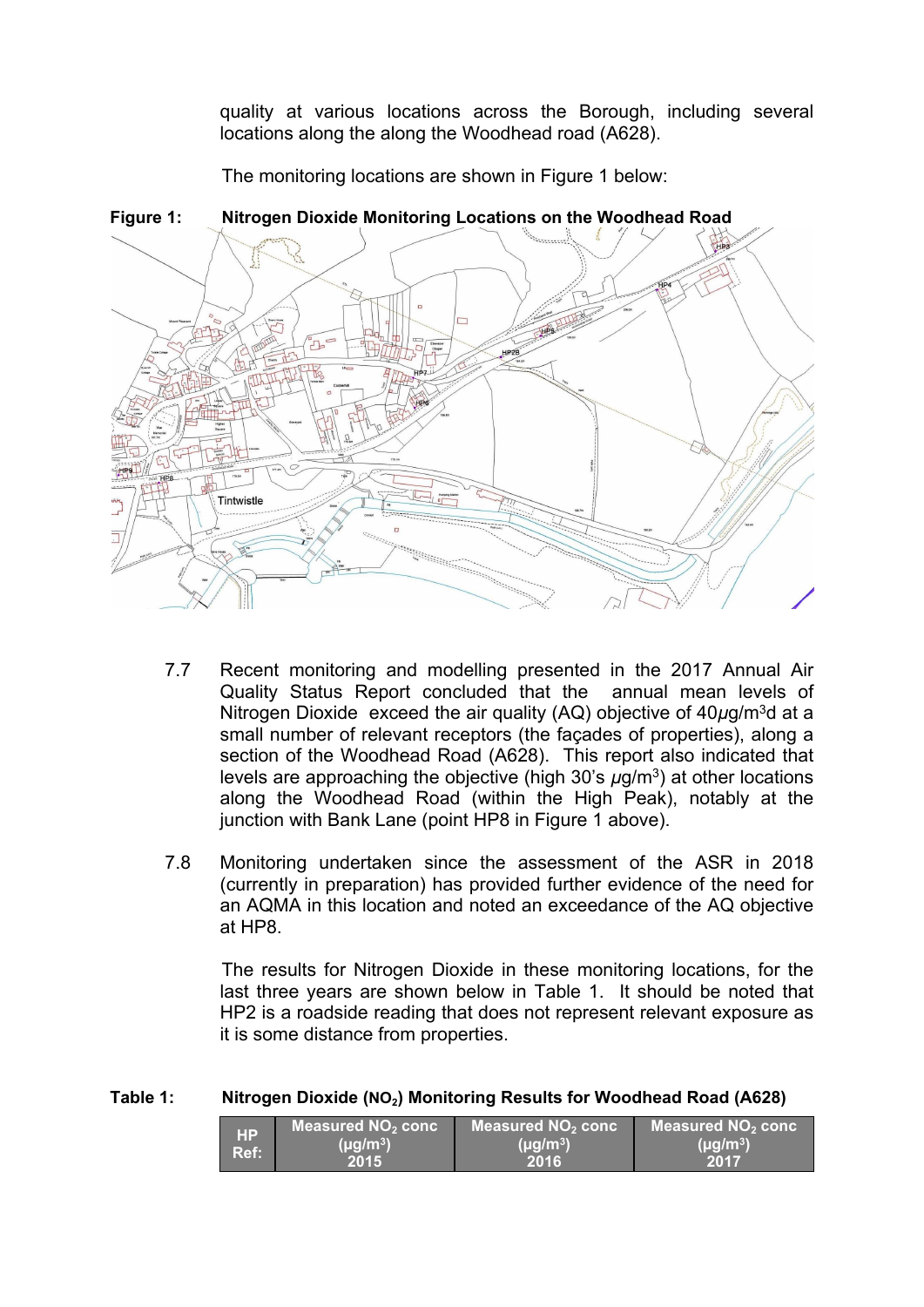quality at various locations across the Borough, including several locations along the along the Woodhead road (A628).

The monitoring locations are shown in Figure 1 below:



**Figure 1: Nitrogen Dioxide Monitoring Locations on the Woodhead Road**

- 7.7 Recent monitoring and modelling presented in the 2017 Annual Air Quality Status Report concluded that the annual mean levels of Nitrogen Dioxide exceed the air quality (AQ) objective of 40*µ*g/m<sup>3</sup>d at a small number of relevant receptors (the façades of properties), along a section of the Woodhead Road (A628). This report also indicated that levels are approaching the objective (high 30's  $\mu$ g/m<sup>3</sup>) at other locations along the Woodhead Road (within the High Peak), notably at the junction with Bank Lane (point HP8 in Figure 1 above).
- 7.8 Monitoring undertaken since the assessment of the ASR in 2018 (currently in preparation) has provided further evidence of the need for an AQMA in this location and noted an exceedance of the AQ objective at HP8.

The results for Nitrogen Dioxide in these monitoring locations, for the last three years are shown below in Table 1. It should be noted that HP2 is a roadside reading that does not represent relevant exposure as it is some distance from properties.

| <b>HP</b> | Measured NO <sub>2</sub> conc | Measured $NO2$ conc | Measured $NO2$ conc |
|-----------|-------------------------------|---------------------|---------------------|
| Ref:      | $(\mu g/m^3)$                 | $(\mu q/m^3)$       | $(\mu g/m^3)$       |
|           | 2015                          | 2016                |                     |

# **Table 1: Nitrogen Dioxide (NO2) Monitoring Results for Woodhead Road (A628)**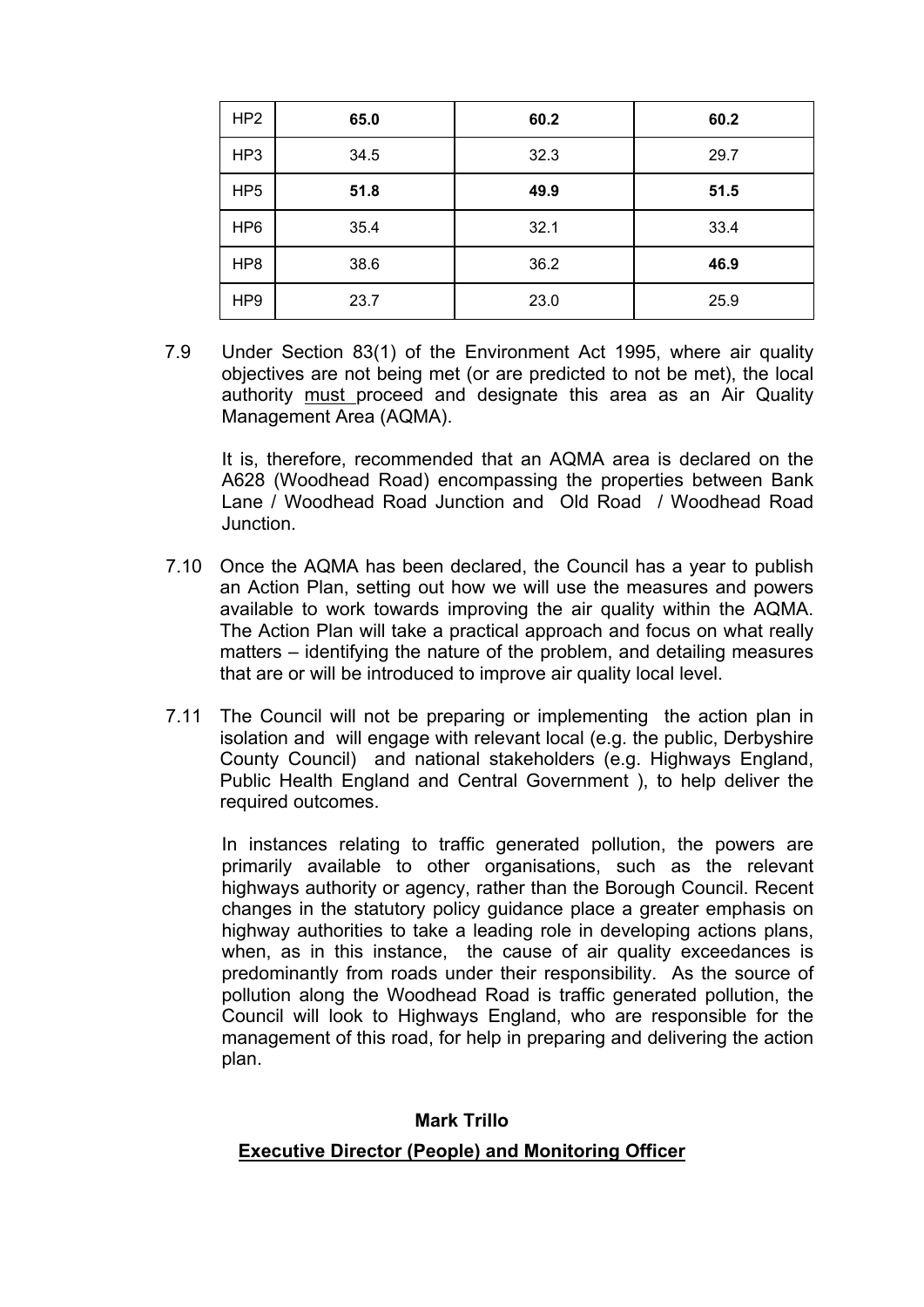| HP <sub>2</sub> | 65.0 | 60.2 | 60.2 |
|-----------------|------|------|------|
| HP3             | 34.5 | 32.3 | 29.7 |
| HP <sub>5</sub> | 51.8 | 49.9 | 51.5 |
| HP <sub>6</sub> | 35.4 | 32.1 | 33.4 |
| HP <sub>8</sub> | 38.6 | 36.2 | 46.9 |
| HP <sub>9</sub> | 23.7 | 23.0 | 25.9 |

7.9 Under Section 83(1) of the Environment Act 1995, where air quality objectives are not being met (or are predicted to not be met), the local authority must proceed and designate this area as an Air Quality Management Area (AQMA).

It is, therefore, recommended that an AQMA area is declared on the A628 (Woodhead Road) encompassing the properties between Bank Lane / Woodhead Road Junction and Old Road / Woodhead Road Junction.

- 7.10 Once the AQMA has been declared, the Council has a year to publish an Action Plan, setting out how we will use the measures and powers available to work towards improving the air quality within the AQMA. The Action Plan will take a practical approach and focus on what really matters – identifying the nature of the problem, and detailing measures that are or will be introduced to improve air quality local level.
- 7.11 The Council will not be preparing or implementing the action plan in isolation and will engage with relevant local (e.g. the public, Derbyshire County Council) and national stakeholders (e.g. Highways England, Public Health England and Central Government ), to help deliver the required outcomes.

In instances relating to traffic generated pollution, the powers are primarily available to other organisations, such as the relevant highways authority or agency, rather than the Borough Council. Recent changes in the statutory policy guidance place a greater emphasis on highway authorities to take a leading role in developing actions plans, when, as in this instance, the cause of air quality exceedances is predominantly from roads under their responsibility. As the source of pollution along the Woodhead Road is traffic generated pollution, the Council will look to Highways England, who are responsible for the management of this road, for help in preparing and delivering the action plan.

### **Mark Trillo**

### **Executive Director (People) and Monitoring Officer**